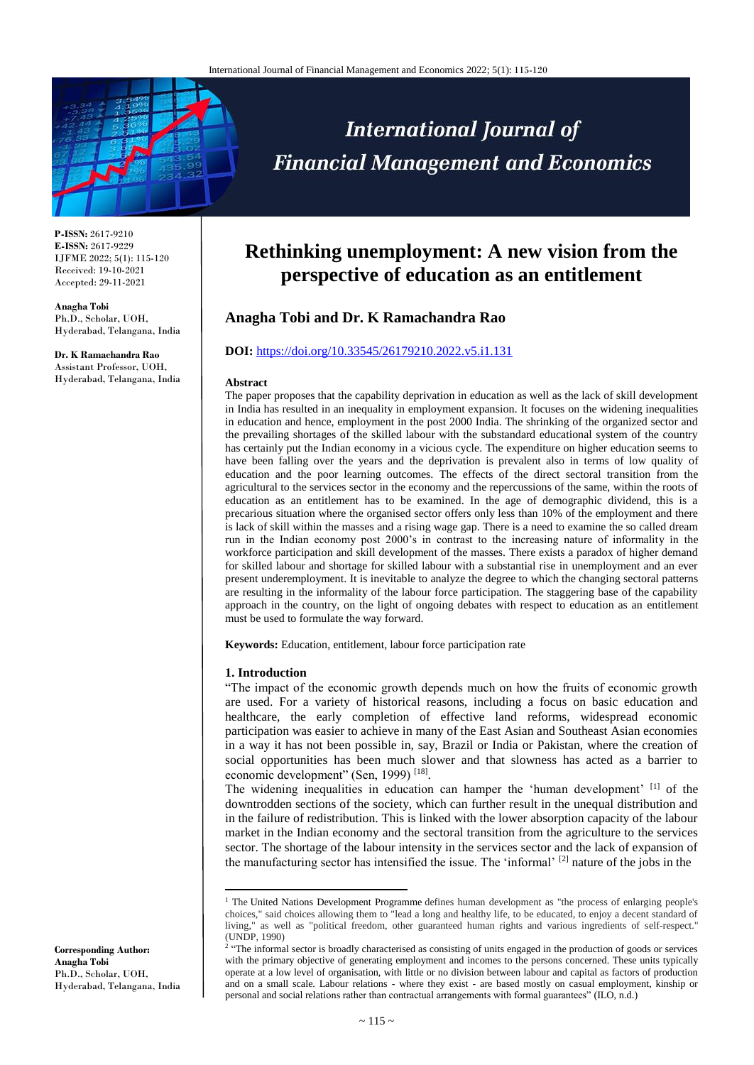

**P-ISSN:** 2617-9210 **E-ISSN:** 2617-9229 IJFME 2022; 5(1): 115-120 Received: 19-10-2021 Accepted: 29-11-2021

**Anagha Tobi** Ph.D., Scholar, UOH, Hyderabad, Telangana, India

**Dr. K Ramachandra Rao** Assistant Professor, UOH, Hyderabad, Telangana, India

# **International Journal of Financial Management and Economics**

# **Rethinking unemployment: A new vision from the perspective of education as an entitlement**

# **Anagha Tobi and Dr. K Ramachandra Rao**

# **DOI:** <https://doi.org/10.33545/26179210.2022.v5.i1.131>

#### **Abstract**

The paper proposes that the capability deprivation in education as well as the lack of skill development in India has resulted in an inequality in employment expansion. It focuses on the widening inequalities in education and hence, employment in the post 2000 India. The shrinking of the organized sector and the prevailing shortages of the skilled labour with the substandard educational system of the country has certainly put the Indian economy in a vicious cycle. The expenditure on higher education seems to have been falling over the years and the deprivation is prevalent also in terms of low quality of education and the poor learning outcomes. The effects of the direct sectoral transition from the agricultural to the services sector in the economy and the repercussions of the same, within the roots of education as an entitlement has to be examined. In the age of demographic dividend, this is a precarious situation where the organised sector offers only less than 10% of the employment and there is lack of skill within the masses and a rising wage gap. There is a need to examine the so called dream run in the Indian economy post 2000's in contrast to the increasing nature of informality in the workforce participation and skill development of the masses. There exists a paradox of higher demand for skilled labour and shortage for skilled labour with a substantial rise in unemployment and an ever present underemployment. It is inevitable to analyze the degree to which the changing sectoral patterns are resulting in the informality of the labour force participation. The staggering base of the capability approach in the country, on the light of ongoing debates with respect to education as an entitlement must be used to formulate the way forward.

**Keywords:** Education, entitlement, labour force participation rate

# **1. Introduction**

 $\overline{a}$ 

"The impact of the economic growth depends much on how the fruits of economic growth are used. For a variety of historical reasons, including a focus on basic education and healthcare, the early completion of effective land reforms, widespread economic participation was easier to achieve in many of the East Asian and Southeast Asian economies in a way it has not been possible in, say, Brazil or India or Pakistan, where the creation of social opportunities has been much slower and that slowness has acted as a barrier to economic development" (Sen, 1999)<sup>[18]</sup>.

The widening inequalities in education can hamper the 'human development' [1] of the downtrodden sections of the society, which can further result in the unequal distribution and in the failure of redistribution. This is linked with the lower absorption capacity of the labour market in the Indian economy and the sectoral transition from the agriculture to the services sector. The shortage of the labour intensity in the services sector and the lack of expansion of the manufacturing sector has intensified the issue. The 'informal' [2] nature of the jobs in the

**Corresponding Author: Anagha Tobi** Ph.D., Scholar, UOH, Hyderabad, Telangana, India

<sup>&</sup>lt;sup>1</sup> The United Nations Development Programme defines human development as "the process of enlarging people's choices," said choices allowing them to "lead a long and healthy life, to be educated, to enjoy a decent standard of living," as well as "political freedom, other guaranteed human rights and various ingredients of self-respect." (UNDP, 1990)

<sup>&</sup>lt;sup>2</sup> "The informal sector is broadly characterised as consisting of units engaged in the production of goods or services with the primary objective of generating employment and incomes to the persons concerned. These units typically operate at a low level of organisation, with little or no division between labour and capital as factors of production and on a small scale. Labour relations - where they exist - are based mostly on casual employment, kinship or personal and social relations rather than contractual arrangements with formal guarantees" (ILO, n.d.)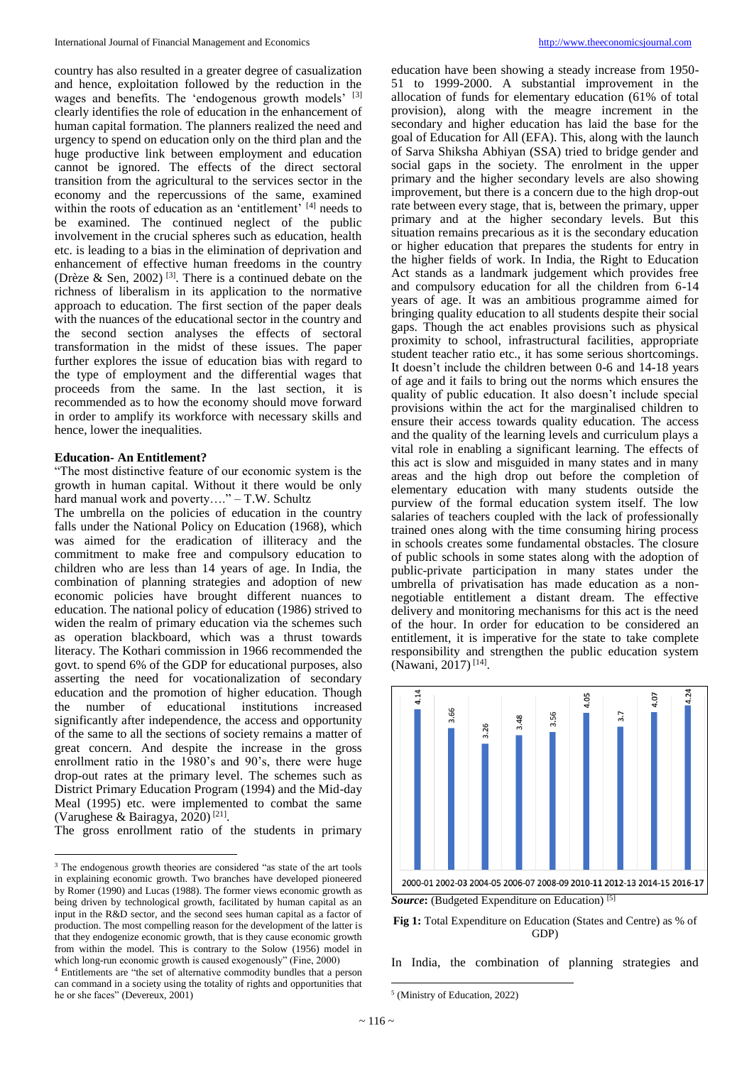country has also resulted in a greater degree of casualization and hence, exploitation followed by the reduction in the wages and benefits. The 'endogenous growth models' [3] clearly identifies the role of education in the enhancement of human capital formation. The planners realized the need and urgency to spend on education only on the third plan and the huge productive link between employment and education cannot be ignored. The effects of the direct sectoral transition from the agricultural to the services sector in the economy and the repercussions of the same, examined within the roots of education as an 'entitlement' [4] needs to be examined. The continued neglect of the public involvement in the crucial spheres such as education, health etc. is leading to a bias in the elimination of deprivation and enhancement of effective human freedoms in the country (Drèze & Sen, 2002)<sup>[3]</sup>. There is a continued debate on the richness of liberalism in its application to the normative approach to education. The first section of the paper deals with the nuances of the educational sector in the country and the second section analyses the effects of sectoral transformation in the midst of these issues. The paper further explores the issue of education bias with regard to the type of employment and the differential wages that proceeds from the same. In the last section, it is recommended as to how the economy should move forward in order to amplify its workforce with necessary skills and hence, lower the inequalities.

#### **Education- An Entitlement?**

"The most distinctive feature of our economic system is the growth in human capital. Without it there would be only hard manual work and poverty...." – T.W. Schultz

The umbrella on the policies of education in the country falls under the National Policy on Education (1968), which was aimed for the eradication of illiteracy and the commitment to make free and compulsory education to children who are less than 14 years of age. In India, the combination of planning strategies and adoption of new economic policies have brought different nuances to education. The national policy of education (1986) strived to widen the realm of primary education via the schemes such as operation blackboard, which was a thrust towards literacy. The Kothari commission in 1966 recommended the govt. to spend 6% of the GDP for educational purposes, also asserting the need for vocationalization of secondary education and the promotion of higher education. Though the number of educational institutions increased significantly after independence, the access and opportunity of the same to all the sections of society remains a matter of great concern. And despite the increase in the gross enrollment ratio in the 1980's and 90's, there were huge drop-out rates at the primary level. The schemes such as District Primary Education Program (1994) and the Mid-day Meal (1995) etc. were implemented to combat the same (Varughese & Bairagya, 2020)<sup>[21]</sup>.

The gross enrollment ratio of the students in primary

education have been showing a steady increase from 1950- 51 to 1999-2000. A substantial improvement in the allocation of funds for elementary education (61% of total provision), along with the meagre increment in the secondary and higher education has laid the base for the goal of Education for All (EFA). This, along with the launch of Sarva Shiksha Abhiyan (SSA) tried to bridge gender and social gaps in the society. The enrolment in the upper primary and the higher secondary levels are also showing improvement, but there is a concern due to the high drop-out rate between every stage, that is, between the primary, upper primary and at the higher secondary levels. But this situation remains precarious as it is the secondary education or higher education that prepares the students for entry in the higher fields of work. In India, the Right to Education Act stands as a landmark judgement which provides free and compulsory education for all the children from 6-14 years of age. It was an ambitious programme aimed for bringing quality education to all students despite their social gaps. Though the act enables provisions such as physical proximity to school, infrastructural facilities, appropriate student teacher ratio etc., it has some serious shortcomings. It doesn't include the children between 0-6 and 14-18 years of age and it fails to bring out the norms which ensures the quality of public education. It also doesn't include special provisions within the act for the marginalised children to ensure their access towards quality education. The access and the quality of the learning levels and curriculum plays a vital role in enabling a significant learning. The effects of this act is slow and misguided in many states and in many areas and the high drop out before the completion of elementary education with many students outside the purview of the formal education system itself. The low salaries of teachers coupled with the lack of professionally trained ones along with the time consuming hiring process in schools creates some fundamental obstacles. The closure of public schools in some states along with the adoption of public-private participation in many states under the umbrella of privatisation has made education as a nonnegotiable entitlement a distant dream. The effective delivery and monitoring mechanisms for this act is the need of the hour. In order for education to be considered an entitlement, it is imperative for the state to take complete responsibility and strengthen the public education system (Nawani, 2017)<sup>[14]</sup>.



*Source***:** (Budgeted Expenditure on Education) [5]

**Fig 1:** Total Expenditure on Education (States and Centre) as % of GDP)

In India, the combination of planning strategies and

 $\overline{\phantom{a}}$ 

 $\overline{\phantom{a}}$ <sup>3</sup> The endogenous growth theories are considered "as state of the art tools in explaining economic growth. Two branches have developed pioneered by Romer (1990) and Lucas (1988). The former views economic growth as being driven by technological growth, facilitated by human capital as an input in the R&D sector, and the second sees human capital as a factor of production. The most compelling reason for the development of the latter is that they endogenize economic growth, that is they cause economic growth from within the model. This is contrary to the Solow (1956) model in which long-run economic growth is caused exogenously" (Fine, 2000)

<sup>4</sup> Entitlements are "the set of alternative commodity bundles that a person can command in a society using the totality of rights and opportunities that he or she faces" (Devereux, 2001)

<sup>5</sup> (Ministry of Education, 2022)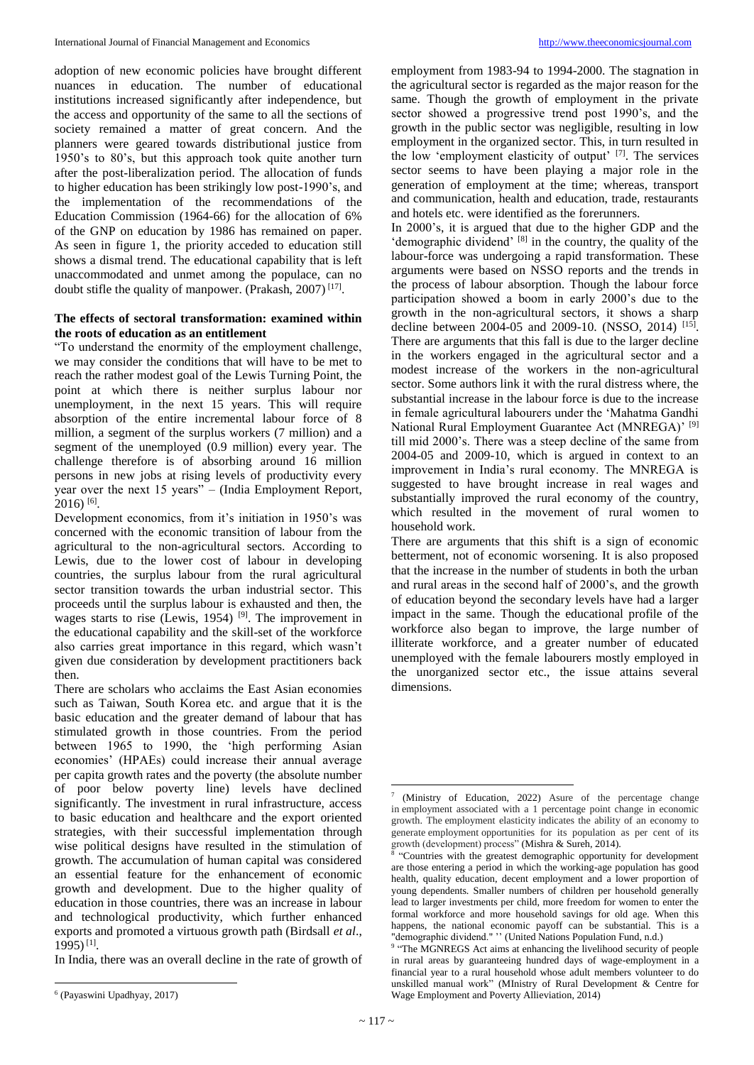adoption of new economic policies have brought different nuances in education. The number of educational institutions increased significantly after independence, but the access and opportunity of the same to all the sections of society remained a matter of great concern. And the planners were geared towards distributional justice from 1950's to 80's, but this approach took quite another turn after the post-liberalization period. The allocation of funds to higher education has been strikingly low post-1990's, and the implementation of the recommendations of the Education Commission (1964-66) for the allocation of 6% of the GNP on education by 1986 has remained on paper. As seen in figure 1, the priority acceded to education still shows a dismal trend. The educational capability that is left

unaccommodated and unmet among the populace, can no doubt stifle the quality of manpower. (Prakash, 2007)<sup>[17]</sup>.

# **The effects of sectoral transformation: examined within the roots of education as an entitlement**

"To understand the enormity of the employment challenge, we may consider the conditions that will have to be met to reach the rather modest goal of the Lewis Turning Point, the point at which there is neither surplus labour nor unemployment, in the next 15 years. This will require absorption of the entire incremental labour force of 8 million, a segment of the surplus workers (7 million) and a segment of the unemployed (0.9 million) every year. The challenge therefore is of absorbing around 16 million persons in new jobs at rising levels of productivity every year over the next 15 years" – (India Employment Report,  $2016$ )<sup>[6]</sup>.

Development economics, from it's initiation in 1950's was concerned with the economic transition of labour from the agricultural to the non-agricultural sectors. According to Lewis, due to the lower cost of labour in developing countries, the surplus labour from the rural agricultural sector transition towards the urban industrial sector. This proceeds until the surplus labour is exhausted and then, the wages starts to rise (Lewis, 1954)<sup>[9]</sup>. The improvement in the educational capability and the skill-set of the workforce also carries great importance in this regard, which wasn't given due consideration by development practitioners back then.

There are scholars who acclaims the East Asian economies such as Taiwan, South Korea etc. and argue that it is the basic education and the greater demand of labour that has stimulated growth in those countries. From the period between 1965 to 1990, the 'high performing Asian economies' (HPAEs) could increase their annual average per capita growth rates and the poverty (the absolute number of poor below poverty line) levels have declined significantly. The investment in rural infrastructure, access to basic education and healthcare and the export oriented strategies, with their successful implementation through wise political designs have resulted in the stimulation of growth. The accumulation of human capital was considered an essential feature for the enhancement of economic growth and development. Due to the higher quality of education in those countries, there was an increase in labour and technological productivity, which further enhanced exports and promoted a virtuous growth path (Birdsall *et al*., 1995) [1] .

In India, there was an overall decline in the rate of growth of

employment from 1983-94 to 1994-2000. The stagnation in the agricultural sector is regarded as the major reason for the same. Though the growth of employment in the private sector showed a progressive trend post 1990's, and the growth in the public sector was negligible, resulting in low employment in the organized sector. This, in turn resulted in the low 'employment elasticity of output' [7] . The services sector seems to have been playing a major role in the generation of employment at the time; whereas, transport and communication, health and education, trade, restaurants and hotels etc. were identified as the forerunners.

In 2000's, it is argued that due to the higher GDP and the 'demographic dividend' [8] in the country, the quality of the labour-force was undergoing a rapid transformation. These arguments were based on NSSO reports and the trends in the process of labour absorption. Though the labour force participation showed a boom in early 2000's due to the growth in the non-agricultural sectors, it shows a sharp decline between 2004-05 and 2009-10. (NSSO, 2014) <sup>[15]</sup>. There are arguments that this fall is due to the larger decline in the workers engaged in the agricultural sector and a modest increase of the workers in the non-agricultural sector. Some authors link it with the rural distress where, the substantial increase in the labour force is due to the increase in female agricultural labourers under the 'Mahatma Gandhi National Rural Employment Guarantee Act (MNREGA)' [9] till mid 2000's. There was a steep decline of the same from 2004-05 and 2009-10, which is argued in context to an improvement in India's rural economy. The MNREGA is suggested to have brought increase in real wages and substantially improved the rural economy of the country, which resulted in the movement of rural women to household work.

There are arguments that this shift is a sign of economic betterment, not of economic worsening. It is also proposed that the increase in the number of students in both the urban and rural areas in the second half of 2000's, and the growth of education beyond the secondary levels have had a larger impact in the same. Though the educational profile of the workforce also began to improve, the large number of illiterate workforce, and a greater number of educated unemployed with the female labourers mostly employed in the unorganized sector etc., the issue attains several dimensions.

 $\overline{\phantom{a}}$ 6 (Payaswini Upadhyay, 2017)

 $\overline{a}$ 7 (Ministry of Education, 2022) Asure of the percentage change in employment associated with a 1 percentage point change in economic growth. The employment elasticity indicates the ability of an economy to generate employment opportunities for its population as per cent of its growth (development) process" (Mishra & Sureh, 2014).

<sup>&</sup>quot;Countries with the greatest demographic opportunity for development are those entering a period in which the working-age population has good health, quality education, decent employment and a lower proportion of young dependents. Smaller numbers of children per household generally lead to larger investments per child, more freedom for women to enter the formal workforce and more household savings for old age. When this happens, the national economic payoff can be substantial. This is a "demographic dividend." '' (United Nations Population Fund, n.d.)

<sup>&</sup>lt;sup>9</sup> "The MGNREGS Act aims at enhancing the livelihood security of people in rural areas by guaranteeing hundred days of wage-employment in a financial year to a rural household whose adult members volunteer to do unskilled manual work" (MInistry of Rural Development & Centre for Wage Employment and Poverty Allieviation, 2014)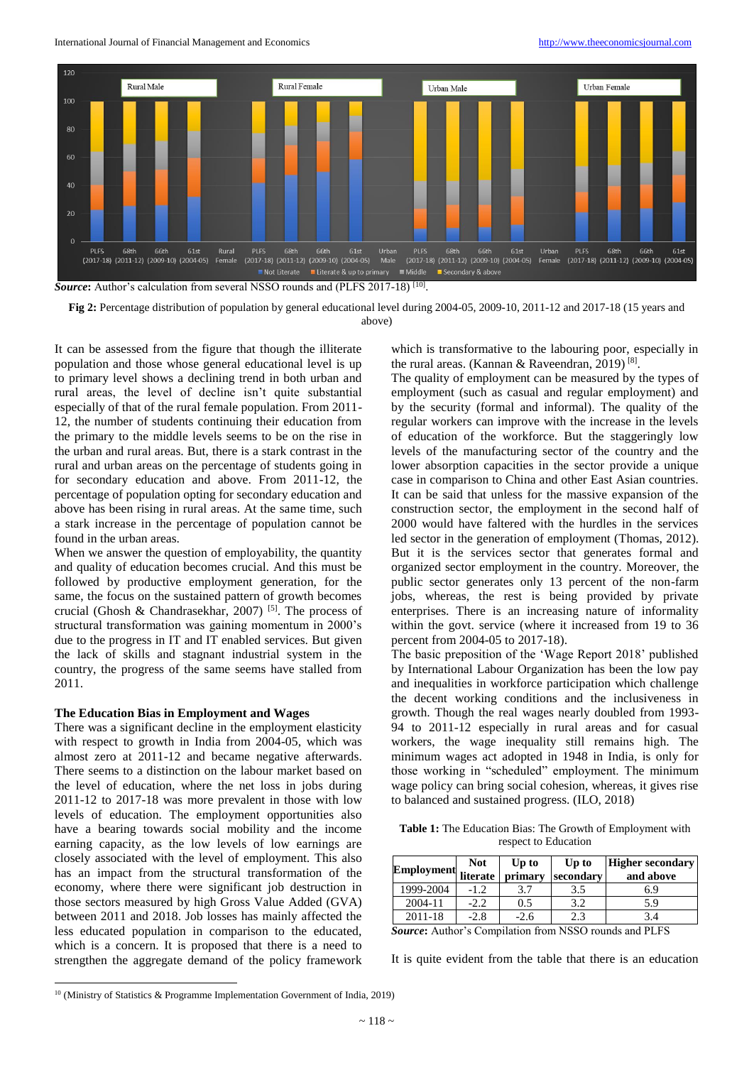International Journal of Financial Management and Economics [http://www.theeconomicsjournal.com](http://www.theeconomicsjournal.com/)



Source: Author's calculation from several NSSO rounds and (PLFS 2017-18) [10].

**Fig 2:** Percentage distribution of population by general educational level during 2004-05, 2009-10, 2011-12 and 2017-18 (15 years and above)

It can be assessed from the figure that though the illiterate population and those whose general educational level is up to primary level shows a declining trend in both urban and rural areas, the level of decline isn't quite substantial especially of that of the rural female population. From 2011- 12, the number of students continuing their education from the primary to the middle levels seems to be on the rise in the urban and rural areas. But, there is a stark contrast in the rural and urban areas on the percentage of students going in for secondary education and above. From 2011-12, the percentage of population opting for secondary education and above has been rising in rural areas. At the same time, such a stark increase in the percentage of population cannot be found in the urban areas.

When we answer the question of employability, the quantity and quality of education becomes crucial. And this must be followed by productive employment generation, for the same, the focus on the sustained pattern of growth becomes crucial (Ghosh & Chandrasekhar, 2007)<sup>[5]</sup>. The process of structural transformation was gaining momentum in 2000's due to the progress in IT and IT enabled services. But given the lack of skills and stagnant industrial system in the country, the progress of the same seems have stalled from 2011.

# **The Education Bias in Employment and Wages**

There was a significant decline in the employment elasticity with respect to growth in India from 2004-05, which was almost zero at 2011-12 and became negative afterwards. There seems to a distinction on the labour market based on the level of education, where the net loss in jobs during 2011-12 to 2017-18 was more prevalent in those with low levels of education. The employment opportunities also have a bearing towards social mobility and the income earning capacity, as the low levels of low earnings are closely associated with the level of employment. This also has an impact from the structural transformation of the economy, where there were significant job destruction in those sectors measured by high Gross Value Added (GVA) between 2011 and 2018. Job losses has mainly affected the less educated population in comparison to the educated, which is a concern. It is proposed that there is a need to strengthen the aggregate demand of the policy framework which is transformative to the labouring poor, especially in the rural areas. (Kannan & Raveendran, 2019)<sup>[8]</sup>.

The quality of employment can be measured by the types of employment (such as casual and regular employment) and by the security (formal and informal). The quality of the regular workers can improve with the increase in the levels of education of the workforce. But the staggeringly low levels of the manufacturing sector of the country and the lower absorption capacities in the sector provide a unique case in comparison to China and other East Asian countries. It can be said that unless for the massive expansion of the construction sector, the employment in the second half of 2000 would have faltered with the hurdles in the services led sector in the generation of employment (Thomas, 2012). But it is the services sector that generates formal and organized sector employment in the country. Moreover, the public sector generates only 13 percent of the non-farm jobs, whereas, the rest is being provided by private enterprises. There is an increasing nature of informality within the govt. service (where it increased from 19 to 36 percent from 2004-05 to 2017-18).

The basic preposition of the 'Wage Report 2018' published by International Labour Organization has been the low pay and inequalities in workforce participation which challenge the decent working conditions and the inclusiveness in growth. Though the real wages nearly doubled from 1993- 94 to 2011-12 especially in rural areas and for casual workers, the wage inequality still remains high. The minimum wages act adopted in 1948 in India, is only for those working in "scheduled" employment. The minimum wage policy can bring social cohesion, whereas, it gives rise to balanced and sustained progress. (ILO, 2018)

**Table 1:** The Education Bias: The Growth of Employment with respect to Education

| literate | primary | Up to<br>secondary | Higher secondary<br>and above                                                                                                                                                                                                                                                                                                                                                                                                                                                              |
|----------|---------|--------------------|--------------------------------------------------------------------------------------------------------------------------------------------------------------------------------------------------------------------------------------------------------------------------------------------------------------------------------------------------------------------------------------------------------------------------------------------------------------------------------------------|
| $-1.2$   |         | 3.5                | 6.9                                                                                                                                                                                                                                                                                                                                                                                                                                                                                        |
| $-2.2$   | 0.5     | 3.2                | 5.9                                                                                                                                                                                                                                                                                                                                                                                                                                                                                        |
| $-2.8$   | $-2.6$  | 2.3                | 3.4                                                                                                                                                                                                                                                                                                                                                                                                                                                                                        |
|          |         |                    | $\blacksquare$ $\blacksquare$ $\blacksquare$ $\blacksquare$ $\blacksquare$ $\blacksquare$ $\blacksquare$ $\blacksquare$ $\blacksquare$ $\blacksquare$ $\blacksquare$ $\blacksquare$ $\blacksquare$ $\blacksquare$ $\blacksquare$ $\blacksquare$ $\blacksquare$ $\blacksquare$ $\blacksquare$ $\blacksquare$ $\blacksquare$ $\blacksquare$ $\blacksquare$ $\blacksquare$ $\blacksquare$ $\blacksquare$ $\blacksquare$ $\blacksquare$ $\blacksquare$ $\blacksquare$ $\blacksquare$ $\blacks$ |

*Source***:** Author's Compilation from NSSO rounds and PLFS

It is quite evident from the table that there is an education

 $\overline{\phantom{a}}$ <sup>10</sup> (Ministry of Statistics & Programme Implementation Government of India, 2019)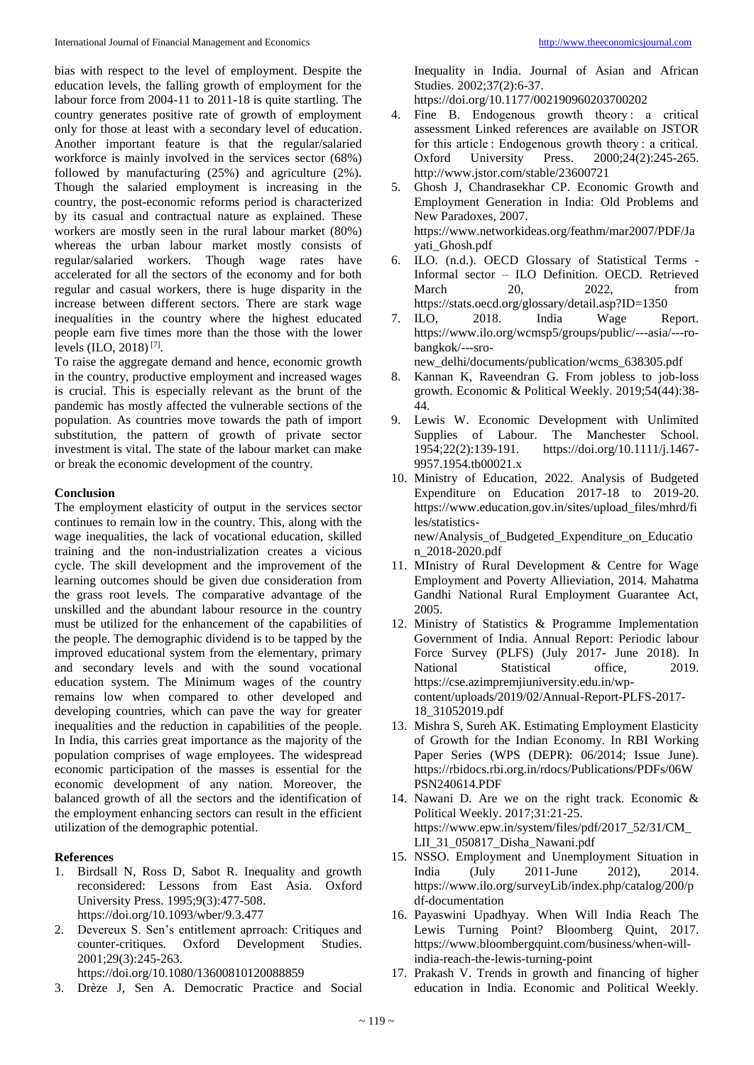bias with respect to the level of employment. Despite the education levels, the falling growth of employment for the labour force from 2004-11 to 2011-18 is quite startling. The country generates positive rate of growth of employment only for those at least with a secondary level of education. Another important feature is that the regular/salaried workforce is mainly involved in the services sector (68%) followed by manufacturing (25%) and agriculture (2%). Though the salaried employment is increasing in the country, the post-economic reforms period is characterized by its casual and contractual nature as explained. These workers are mostly seen in the rural labour market (80%) whereas the urban labour market mostly consists of regular/salaried workers. Though wage rates have accelerated for all the sectors of the economy and for both regular and casual workers, there is huge disparity in the increase between different sectors. There are stark wage inequalities in the country where the highest educated people earn five times more than the those with the lower levels (ILO, 2018) [7] .

To raise the aggregate demand and hence, economic growth in the country, productive employment and increased wages is crucial. This is especially relevant as the brunt of the pandemic has mostly affected the vulnerable sections of the population. As countries move towards the path of import substitution, the pattern of growth of private sector investment is vital. The state of the labour market can make or break the economic development of the country.

# **Conclusion**

The employment elasticity of output in the services sector continues to remain low in the country. This, along with the wage inequalities, the lack of vocational education, skilled training and the non-industrialization creates a vicious cycle. The skill development and the improvement of the learning outcomes should be given due consideration from the grass root levels. The comparative advantage of the unskilled and the abundant labour resource in the country must be utilized for the enhancement of the capabilities of the people. The demographic dividend is to be tapped by the improved educational system from the elementary, primary and secondary levels and with the sound vocational education system. The Minimum wages of the country remains low when compared to other developed and developing countries, which can pave the way for greater inequalities and the reduction in capabilities of the people. In India, this carries great importance as the majority of the population comprises of wage employees. The widespread economic participation of the masses is essential for the economic development of any nation. Moreover, the balanced growth of all the sectors and the identification of the employment enhancing sectors can result in the efficient utilization of the demographic potential.

# **References**

- 1. Birdsall N, Ross D, Sabot R. Inequality and growth reconsidered: Lessons from East Asia. Oxford University Press. 1995;9(3):477-508. https://doi.org/10.1093/wber/9.3.477
- 2. Devereux S. Sen's entitlement aprroach: Critiques and counter-critiques. Oxford Development Studies. 2001;29(3):245-263. https://doi.org/10.1080/13600810120088859
- 3. Drèze J, Sen A. Democratic Practice and Social

Inequality in India. Journal of Asian and African Studies. 2002;37(2):6-37.

https://doi.org/10.1177/002190960203700202

- 4. Fine B. Endogenous growth theory : a critical assessment Linked references are available on JSTOR for this article : Endogenous growth theory : a critical. Oxford University Press. 2000;24(2):245-265. http://www.jstor.com/stable/23600721
- 5. Ghosh J, Chandrasekhar CP. Economic Growth and Employment Generation in India: Old Problems and New Paradoxes, 2007. https://www.networkideas.org/feathm/mar2007/PDF/Ja yati\_Ghosh.pdf
- 6. ILO. (n.d.). OECD Glossary of Statistical Terms Informal sector – ILO Definition. OECD. Retrieved March 20, 2022, from https://stats.oecd.org/glossary/detail.asp?ID=1350
- 7. ILO, 2018. India Wage Report. https://www.ilo.org/wcmsp5/groups/public/---asia/---robangkok/---sro-

new\_delhi/documents/publication/wcms\_638305.pdf

- 8. Kannan K, Raveendran G. From jobless to job-loss growth. Economic & Political Weekly. 2019;54(44):38- 44.
- 9. Lewis W. Economic Development with Unlimited Supplies of Labour. The Manchester School. 1954;22(2):139-191. https://doi.org/10.1111/j.1467- 9957.1954.tb00021.x
- 10. Ministry of Education, 2022. Analysis of Budgeted Expenditure on Education 2017-18 to 2019-20. https://www.education.gov.in/sites/upload\_files/mhrd/fi les/statisticsnew/Analysis\_of\_Budgeted\_Expenditure\_on\_Educatio n\_2018-2020.pdf
- 11. MInistry of Rural Development & Centre for Wage Employment and Poverty Allieviation, 2014. Mahatma Gandhi National Rural Employment Guarantee Act, 2005.
- 12. Ministry of Statistics & Programme Implementation Government of India. Annual Report: Periodic labour Force Survey (PLFS) (July 2017- June 2018). In National Statistical office, 2019. https://cse.azimpremjiuniversity.edu.in/wpcontent/uploads/2019/02/Annual-Report-PLFS-2017- 18\_31052019.pdf
- 13. Mishra S, Sureh AK. Estimating Employment Elasticity of Growth for the Indian Economy. In RBI Working Paper Series (WPS (DEPR): 06/2014; Issue June). https://rbidocs.rbi.org.in/rdocs/Publications/PDFs/06W PSN240614.PDF
- 14. Nawani D. Are we on the right track. Economic & Political Weekly. 2017;31:21-25. https://www.epw.in/system/files/pdf/2017\_52/31/CM\_ LII\_31\_050817\_Disha\_Nawani.pdf
- 15. NSSO. Employment and Unemployment Situation in India (July 2011-June 2012), 2014. https://www.ilo.org/surveyLib/index.php/catalog/200/p df-documentation
- 16. Payaswini Upadhyay. When Will India Reach The Lewis Turning Point? Bloomberg Quint, 2017. https://www.bloombergquint.com/business/when-willindia-reach-the-lewis-turning-point
- 17. Prakash V. Trends in growth and financing of higher education in India. Economic and Political Weekly.